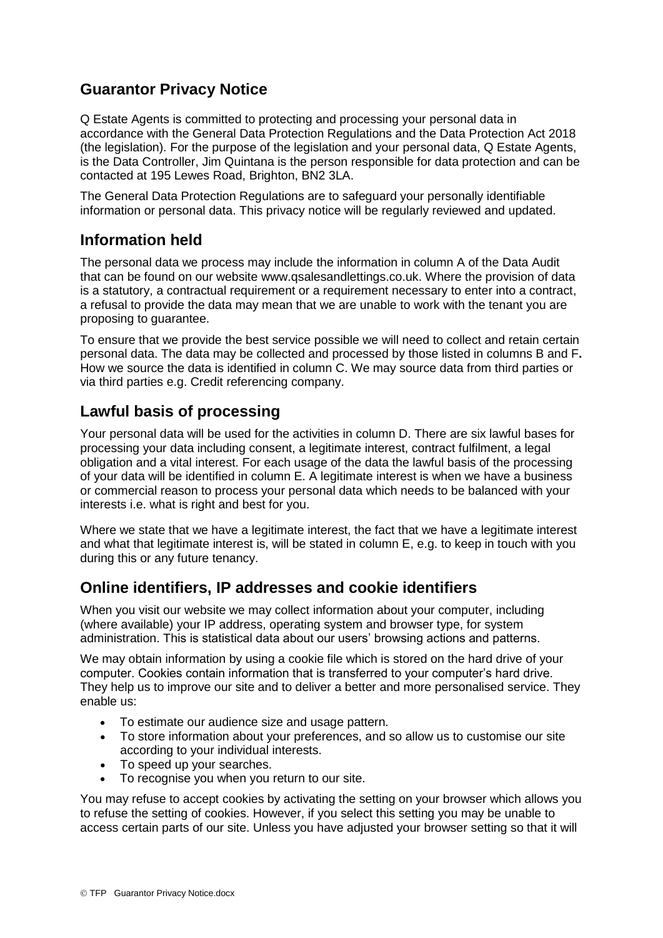# **Guarantor Privacy Notice**

Q Estate Agents is committed to protecting and processing your personal data in accordance with the General Data Protection Regulations and the Data Protection Act 2018 (the legislation). For the purpose of the legislation and your personal data, Q Estate Agents, is the Data Controller, Jim Quintana is the person responsible for data protection and can be contacted at 195 Lewes Road, Brighton, BN2 3LA.

The General Data Protection Regulations are to safeguard your personally identifiable information or personal data. This privacy notice will be regularly reviewed and updated.

## **Information held**

The personal data we process may include the information in column A of the Data Audit that can be found on our website www.qsalesandlettings.co.uk. Where the provision of data is a statutory, a contractual requirement or a requirement necessary to enter into a contract, a refusal to provide the data may mean that we are unable to work with the tenant you are proposing to guarantee.

To ensure that we provide the best service possible we will need to collect and retain certain personal data. The data may be collected and processed by those listed in columns B and F**.**  How we source the data is identified in column C. We may source data from third parties or via third parties e.g. Credit referencing company.

## **Lawful basis of processing**

Your personal data will be used for the activities in column D. There are six lawful bases for processing your data including consent, a legitimate interest, contract fulfilment, a legal obligation and a vital interest. For each usage of the data the lawful basis of the processing of your data will be identified in column E. A legitimate interest is when we have a business or commercial reason to process your personal data which needs to be balanced with your interests i.e. what is right and best for you.

Where we state that we have a legitimate interest, the fact that we have a legitimate interest and what that legitimate interest is, will be stated in column E, e.g. to keep in touch with you during this or any future tenancy.

## **Online identifiers, IP addresses and cookie identifiers**

When you visit our website we may collect information about your computer, including (where available) your IP address, operating system and browser type, for system administration. This is statistical data about our users' browsing actions and patterns.

We may obtain information by using a cookie file which is stored on the hard drive of your computer. Cookies contain information that is transferred to your computer's hard drive. They help us to improve our site and to deliver a better and more personalised service. They enable us:

- To estimate our audience size and usage pattern.
- To store information about your preferences, and so allow us to customise our site according to your individual interests.
- To speed up your searches.
- To recognise you when you return to our site.

You may refuse to accept cookies by activating the setting on your browser which allows you to refuse the setting of cookies. However, if you select this setting you may be unable to access certain parts of our site. Unless you have adjusted your browser setting so that it will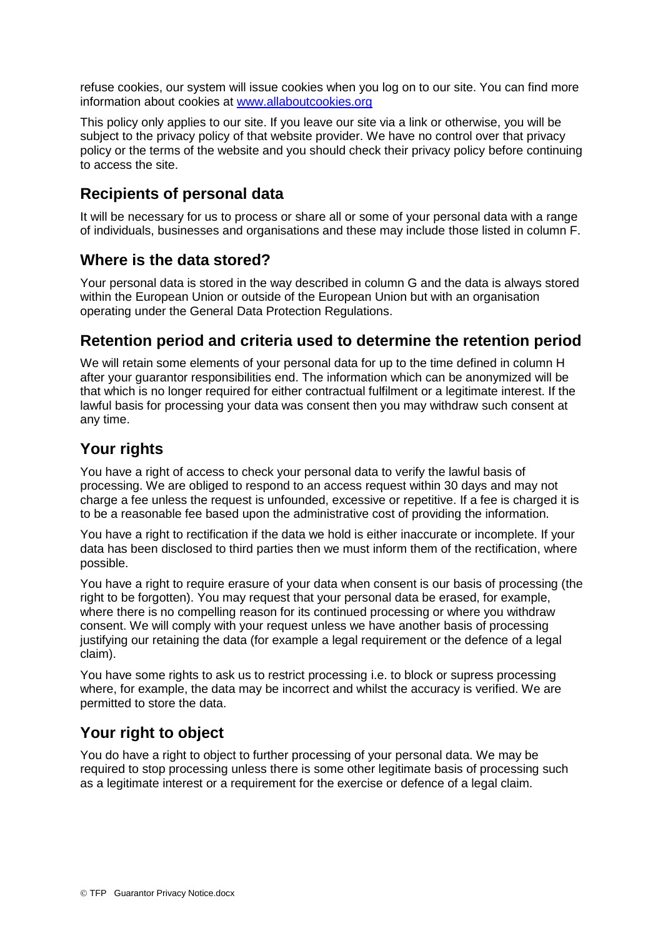refuse cookies, our system will issue cookies when you log on to our site. You can find more information about cookies at [www.allaboutcookies.org](http://www.allaboutcookies.org/)

This policy only applies to our site. If you leave our site via a link or otherwise, you will be subject to the privacy policy of that website provider. We have no control over that privacy policy or the terms of the website and you should check their privacy policy before continuing to access the site.

## **Recipients of personal data**

It will be necessary for us to process or share all or some of your personal data with a range of individuals, businesses and organisations and these may include those listed in column F.

#### **Where is the data stored?**

Your personal data is stored in the way described in column G and the data is always stored within the European Union or outside of the European Union but with an organisation operating under the General Data Protection Regulations.

#### **Retention period and criteria used to determine the retention period**

We will retain some elements of your personal data for up to the time defined in column H after your guarantor responsibilities end. The information which can be anonymized will be that which is no longer required for either contractual fulfilment or a legitimate interest. If the lawful basis for processing your data was consent then you may withdraw such consent at any time.

## **Your rights**

You have a right of access to check your personal data to verify the lawful basis of processing. We are obliged to respond to an access request within 30 days and may not charge a fee unless the request is unfounded, excessive or repetitive. If a fee is charged it is to be a reasonable fee based upon the administrative cost of providing the information.

You have a right to rectification if the data we hold is either inaccurate or incomplete. If your data has been disclosed to third parties then we must inform them of the rectification, where possible.

You have a right to require erasure of your data when consent is our basis of processing (the right to be forgotten). You may request that your personal data be erased, for example, where there is no compelling reason for its continued processing or where you withdraw consent. We will comply with your request unless we have another basis of processing justifying our retaining the data (for example a legal requirement or the defence of a legal claim).

You have some rights to ask us to restrict processing i.e. to block or supress processing where, for example, the data may be incorrect and whilst the accuracy is verified. We are permitted to store the data.

## **Your right to object**

You do have a right to object to further processing of your personal data. We may be required to stop processing unless there is some other legitimate basis of processing such as a legitimate interest or a requirement for the exercise or defence of a legal claim.